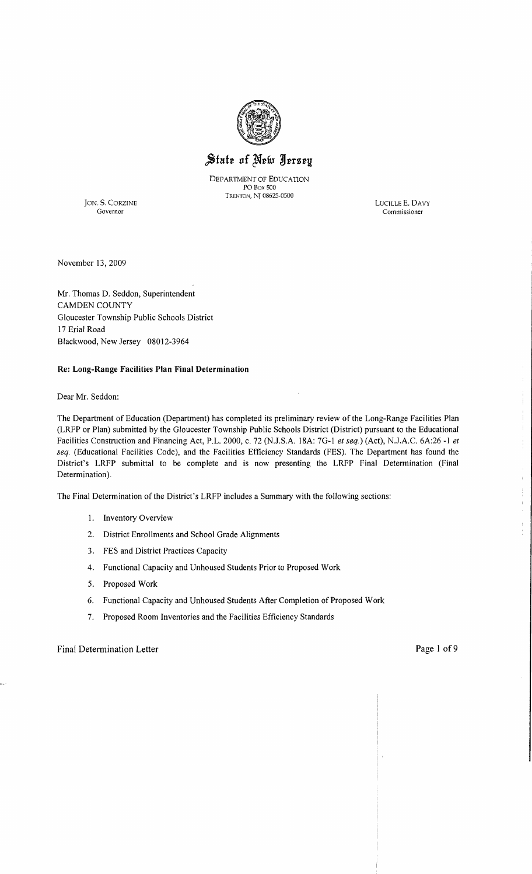

State of New Jersey

DEPARTMENT OF EDUCATION PO Box 500 TRENTON, NJ 08625-0500

JON. S. CORZINE LUCILLE E. DAVY Governor Commissioner Commissioner

November 13,2009

Mr. Thomas D. Seddon, Superintendent CAMDEN COUNTY Gloucester Township Public Schools District 17 Erial Road Blackwood, New Jersey 08012-3964

### **Re: Long-Range Facilities Plan Final Determination**

Dear Mr. Seddon:

The Department of Education (Department) has completed its preliminary review of the Long-Range Facilities Plan (LRFP or Plan) submitted by the Gloucester Township Public Schools District (District) pursuant to the Educational Facilities Construction and Financing Act, P.L. 2000, c. 72 (NJ.SA 18A: 7G-I *et seq.)* (Act), NJAC. 6A:26 **-1** *et seq.* (Educational Facilities Code), and the Facilities Efficiency Standards (FES). The Department has found the District's LRFP submittal to be complete and is now presenting the LRFP Final Determination (Final Determination).

The Final Determination of the District's LRFP includes a Summary with the following sections:

- 1. Inventory Overview
- 2. District Emollments and School Grade Alignments
- 3. FES and District Practices Capacity
- 4. Functional Capacity and Unhoused Students Prior to Proposed Work
- 5. Proposed Work
- 6. Functional Capacity and Unhoused Students After Completion of Proposed Work
- 7. Proposed Room Inventories and the Facilities Efficiency Standards

Final Determination Letter **Page 1 of 9** 

 $\mathcal{I}$  $\frac{1}{1}$ 

 $\begin{array}{cc} 0 & 0 \\ 0 & 0 \\ 0 & 0 \end{array}$ 

 $\bar{1}$ ŧ,  $\mathbf{I}$ Ŷ.  $\mathbb{F}$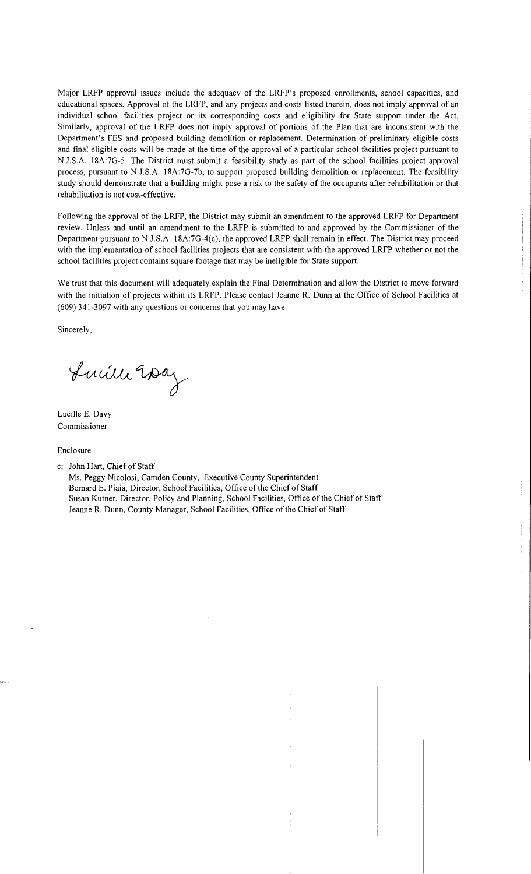Major LRFP approval issues include the adequacy of the LRFP's proposed enrollments, school capacities, and educational spaces. Approval of the LRFP, and any projects and costs listed therein, does not imply approval of an individual school facilities project or its corresponding costs and eligibility for State support under the Act. Similarly, approval of the LRFP does not imply approval of portions of the Plan that are inconsistent with the Department's FES and proposed building demolition or replacement. Determination of preliminary eligible costs and final eligible costs will be made at the time of the approval of a particular school facilities project pursuant to N.J.S.A. 18A:7G-5. The District must submit a feasibility study as part of the school facilities project approval process, pursuant to N.J.S.A. 18A:7G-7b, to support proposed building demolition or replacement. The feasibility study should demonstrate that a building might pose a risk to the safety of the occupants after rehabilitation or that rehabilitation is not cost-effective.

Following the approval of the LRFP, the District may submit an amendment to the approved LRFP for Department review. Unless and until an amendment to the LRFP is submitted to and approved by the Commissioner of the Department pursuant to N.J.S.A. 18A:7G-4(c), the approved LRFP shall remain in effect. The District may proceed with the implementation of school facilities projects that are consistent with the approved LRFP whether or not the school facilities project contains square footage that may be ineligible for State support.

We trust that this document will adequately explain the Final Determination and allow the District to move forward with the initiation of projects within its LRFP. Please contact Jeanne R. Dunn at the Office of School Facilities at (609) 341-3097 with any questions or concerns that you may have.

Sincerely,

Lucille 20az

Lucille E. Davy Commissioner

Enclosure

c: John Hart, Chief of Staff

Ms. Peggy Nicolosi, Camden County, Executive County Superintendent Bernard E. Piaia, Director, School Facilities, Office of the Chief of Staff Susan Kutner, Director, Policy and Planning, School Facilities, Office of the Chief of Staff Jeanne R. Dunn, County Manager, School Facilities, Office of the Chief of Staff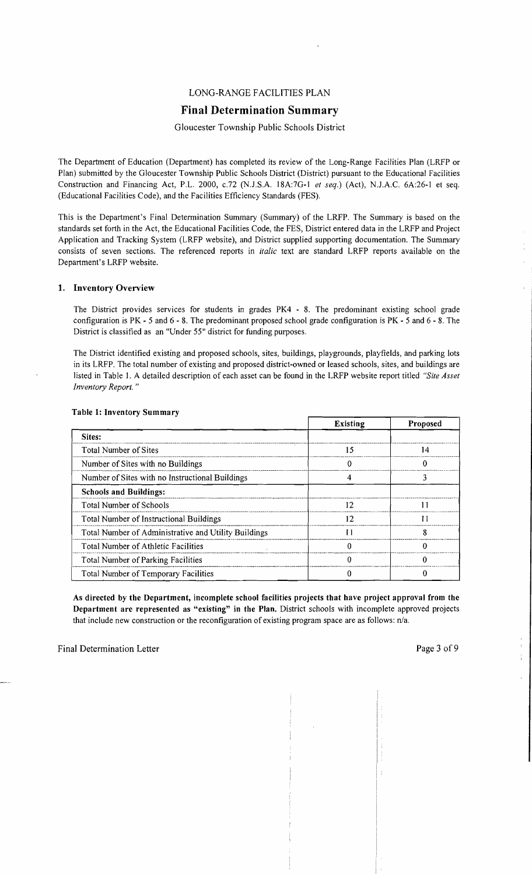# LONG-RANGE FACILITIES PLAN

# **Final Determination Summary**

# Gloucester Township Public Schools District

The Department of Education (Department) has completed its review of the Long-Range Facilities Plan (LRFP or Plan) submitted by the Gloucester Township Public Schools District (District) pursuant to the Educational Facilities Construction and Financing Act, P.L. 2000, *c.n* (N.J.SA 18A:7G-I *et seq.)* (Act), N.JAC. 6A:26-1 et seq. (Educational Facilities Code), and the Facilities Efficiency Standards (FES).

This is the Department's Final Determination Summary (Summary) of the LRFP. The Summary is based on the standards set forth in the Act, the Educational Facilities Code, the FES, District entered data in the LRFP and Project Application and Tracking System (LRFP website), and District supplied supporting documentation. The Summary consists of seven sections. The referenced reports in *italic* text are standard LRFP reports available on the Department's LRFP website.

### 1. Inventory Overview

The District provides services for students in grades PK4 - 8. The predominant existing school grade configuration is PK - 5 and 6 - 8. The predominant proposed school grade configuration is PK - 5 and 6 - 8. The District is classified as an "Under 55" district for funding purposes.

The District identified existing and proposed schools, sites, buildings, playgrounds, playfields, and parking lots in its LRFP. The total number of existing and proposed district-owned or leased schools, sites, and buildings are listed in Table I. A detailed description of each asset can be found in the LRFP website report titled *"Site Asset Inventory Report. "* 

|                                                      | <b>Existing</b> | Proposed |
|------------------------------------------------------|-----------------|----------|
| Sites:                                               |                 |          |
| Total Number of Sites                                | 15              | 14       |
| Number of Sites with no Buildings                    |                 |          |
| Number of Sites with no Instructional Buildings      |                 |          |
| <b>Schools and Buildings:</b>                        |                 |          |
| <b>Total Number of Schools</b>                       | 12              |          |
| Total Number of Instructional Buildings              | 12              | וו       |
| Total Number of Administrative and Utility Buildings | 11              | Я        |
| Total Number of Athletic Facilities                  |                 |          |
| <b>Total Number of Parking Facilities</b>            |                 |          |
| Total Number of Temporary Facilities                 |                 |          |

### Table 1: Inventory Summary

As directed by the Department, incomplete school facilities projects that have project approval from the Department are represented as "existing" in the Plan. District schools with incomplete approved projects that include new construction or the reconfiguration of existing program space are as follows: n/a.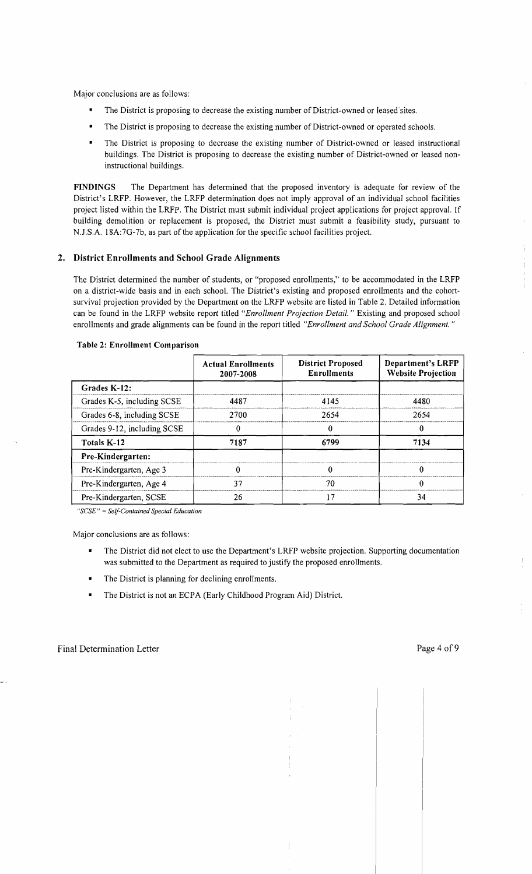Major conclusions are as follows:

- The District is proposing to decrease the existing number of District-owned or leased sites.
- The District is proposing to decrease the existing number of District-owned or operated schools.
- The District is proposing to decrease the existing number of District-owned or leased instructional buildings. The District is proposing to decrease the existing number of District-owned or leased noninstructional buildings.

FINDINGS The Department has determined that the proposed inventory is adequate for review of the District's LRFP. However, the LRFP determination does not imply approval of an individual school facilities project listed within the LRFP. The District must submit individual project applications for project approval. If building demolition or replacement is proposed, the District must submit a feasibility study, pursuant to N*.l.S,A.* l8A:7G-7b, as part of the application for the specific school facilities project.

### 2. District Enrollments and School Grade Alignments

The District determined the number of students, or "proposed enrollments," to be accommodated in the LRFP on a district-wide basis and in each school. The District's existing and proposed enrollments and the cohortsurvival projection provided by the Department on the LRFP website are listed in Table 2. Detailed information can be found in the LRFP website report titled *"Enrollment Projection Detail.* " Existing and proposed school enrollments and grade alignments can be found in the report titled *"Enrollment and School Grade Alignment, "* 

|                             | <b>Actual Enrollments</b><br>2007-2008 | <b>District Proposed</b><br><b>Enrollments</b> | Department's LRFP<br><b>Website Projection</b> |
|-----------------------------|----------------------------------------|------------------------------------------------|------------------------------------------------|
| Grades K-12:                |                                        |                                                |                                                |
| Grades K-5, including SCSE  | 4487                                   | 4145                                           | 4480                                           |
| Grades 6-8, including SCSE  | 2700                                   | 2654                                           | 2654                                           |
| Grades 9-12, including SCSE |                                        |                                                | 0                                              |
| Totals K-12                 | 7187                                   | 6799                                           | 7134                                           |
| Pre-Kindergarten:           |                                        |                                                |                                                |
| Pre-Kindergarten, Age 3     |                                        |                                                |                                                |
| Pre-Kindergarten, Age 4     | 37                                     | 70                                             | U                                              |
| Pre-Kindergarten, SCSE      | 26                                     | 7                                              | 34                                             |

#### Table 2: Enrollment Comparison

*"SCSE"* = *Self-Contained Special Education* 

Major conclusions are as follows:

- The District did not elect to use the Department's LRFP website projection. Supporting documentation was submitted to the Department as required to justify the proposed enrollments.
- The District is planning for declining enrollments.
- **•** The District is not an ECPA (Early Childhood Program Aid) District.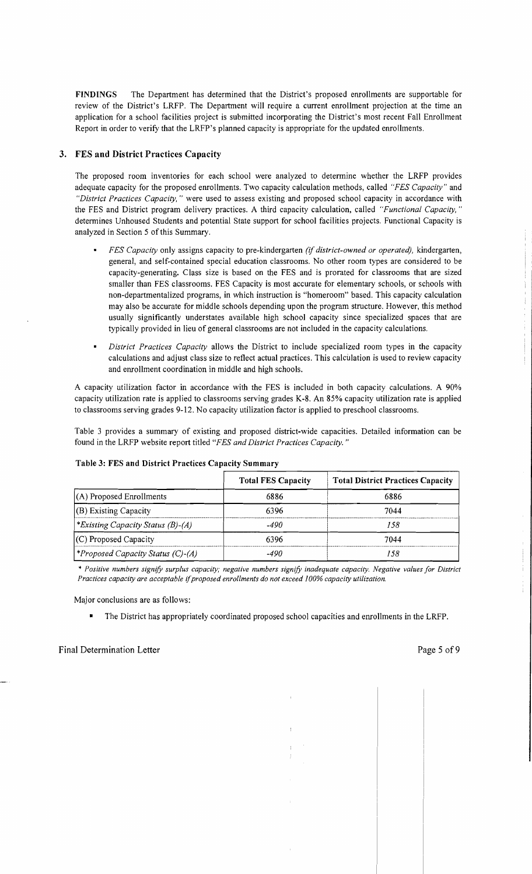**FINDINGS** The Department has determined that the District's proposed enrollments are supportable for review of the District's LRFP. The Department will require a current enrollment projection at the time an application for a school facilities project is submitted incorporating the District's most recent Fall Enrollment Report in order to verify that the LRFP's planned capacity is appropriate for the updated enrollments.

# **3. FES and District Practices Capacity**

The proposed room inventories for each school were analyzed to determine whether the LRFP provides adequate capacity for the proposed enrollments. Two capacity calculation methods, called *"FES Capacity"* and *"District Practices Capacity,* " were used to assess existing and proposed school capacity in accordance with the FES and District program delivery practices. A third capacity calculation, called *"Functional Capacity, "*  determines Unhoused Students and potential State support for school facilities projects. Functional Capacity is analyzed in Section 5 of this Summary.

- *FES Capacity* only assigns capacity to pre-kindergarten *(if district-owned or operated),* kindergarten, general, and self-contained special education classrooms. No other room types are considered to be capacity-generating. Class size is based on the FES and is prorated for classrooms that are sized smaller than FES classrooms. FES Capacity is most accurate for elementary schools, or schools with non-departmentalized programs, in which instruction is "homeroom" based. This capacity calculation may also be accurate for middle schools depending upon the program structure. However, this method usually significantly understates available high school capacity since specialized spaces that are typically provided in lieu of general classrooms are not included in the capacity calculations.
- *District Practices Capacity* allows the District to include specialized room types in the capacity calculations and adjust class size to reflect actual practices. This calculation is used to review capacity and enrollment coordination in middle and high schools.

A capacity utilization factor in accordance with the FES is included in both capacity calculations. A 90% capacity utilization rate is applied to classrooms serving grades K-8. An 85% capacity utilization rate is applied to classrooms serving grades 9-12. No capacity utilization factor is applied to preschool classrooms.

Table 3 provides a summary of existing and proposed district-wide capacities. Detailed information can be found in the LRFP website report titled *"FES and District Practices Capacity. "* 

|                                                 | <b>Total FES Capacity</b> | <b>Total District Practices Capacity</b> |
|-------------------------------------------------|---------------------------|------------------------------------------|
| $(A)$ Proposed Enrollments                      | 6886                      | 6886                                     |
| $ $ (B) Existing Capacity                       | 6396                      | 7044                                     |
| <i><b>*Existing Capacity Status (B)-(A)</b></i> | -490                      | 158                                      |
| $(C)$ Proposed Capacity                         | 6396                      | 7044                                     |
| <i>\</i> *Proposed Capacity Status (C)-(A)      | $-490$                    | 158                                      |

### **Table 3: FES and District Practices Capacity Summary**

*\* Positive numbers signify surplus capacity; negative numbers signify inadequate capacity. Negative values for District Practices capacity are acceptable* if*proposed enrollments do not exceed 100% capacity utilization.* 

Major conclusions are as follows:

• The District has appropriately coordinated proposed school capacities and enrollments in the LRFP.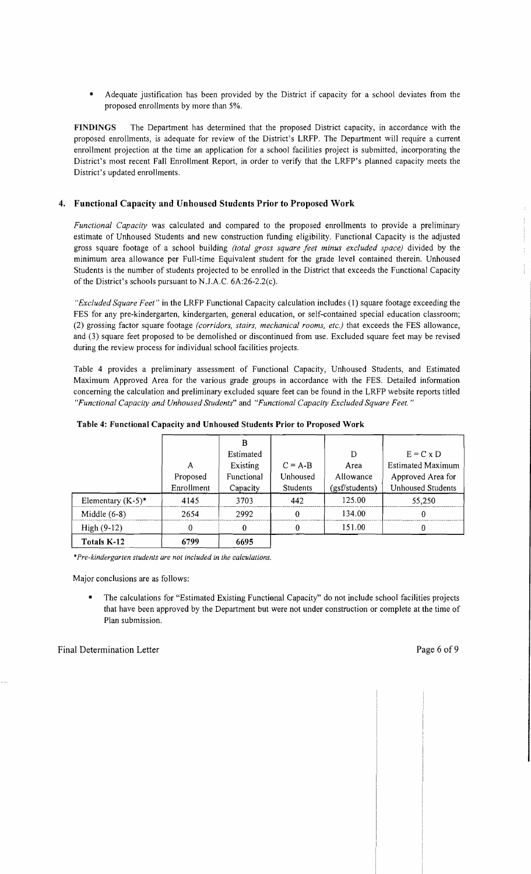Adequate justification has been provided by the District if capacity for a school deviates from the proposed enrollments by more than 5%.

FINDINGS The Department has determined that the proposed District capacity, in accordance with the proposed enrollments, is adequate for review of the District's LRFP. The Department will require a current enrollment projection at the time an application for a school facilities project is submitted, incorporating the District's most recent Fall Enrollment Report, in order to verify that the LRFP's planned capacity meets the District's updated enrollments.

## 4. Functional Capacity and Unhoused Students Prior to Proposed Work

*Functional Capacity* was calculated and compared to the proposed enrollments to provide a preliminary estimate of Unhoused Students and new construction funding eligibility. Functional Capacity is the adjusted gross square footage of a school building *(total gross square feet minus excluded space)* divided by the minimum area allowance per Full-time Equivalent student for the grade level contained therein. Unhoused Students is the number of students projected to be enrolled in the District that exceeds the Functional Capacity of the District's schools pursuant to N.J.A.C. 6A:26-2.2(c).

*"Excluded Square Feet"* in the LRFP Functional Capacity calculation includes (1) square footage exceeding the FES for any pre-kindergarten, kindergarten, general education, or self-contained special education classroom; (2) grossing factor square footage *(corridors, stairs, mechanical rooms, etc.)* that exceeds the FES allowance, and (3) square feet proposed to be demolished or discontinued from use. Excluded square feet may be revised during the review process for individual school facilities projects.

Table 4 provides a preliminary assessment of Functional Capacity, Unhoused Students, and Estimated Maximum Approved Area for the various grade groups in accordance with the FES. Detailed information concerning the calculation and preliminary excluded square feet can be found in the LRFP website reports titled "Functional Capacity and Unhoused Students" and "Functional Capacity Excluded Square Feet."

| $High (9-12)$        |            |            |           | 151.00         |                          |
|----------------------|------------|------------|-----------|----------------|--------------------------|
| Middle $(6-8)$       | 2654       | 2992       |           | 134.00         |                          |
| Elementary $(K-5)^*$ | 4145       | 3703       | 442       | 125.00         | 55,250                   |
|                      | Enrollment | Capacity   | Students  | (gsf/students) | <b>Unhoused Students</b> |
|                      | Proposed   | Functional | Unhoused  | Allowance      | Approved Area for        |
|                      | А          | Existing   | $C = A-B$ | Area           | <b>Estimated Maximum</b> |
|                      |            | Estimated  |           | D              | $E = C \times D$         |
|                      |            | R          |           |                |                          |

Table 4: Functional Capacity and Unhoused Students Prior to Proposed Work

*•Pre-kindergarten students are not included in the calculations.* 

Major conclusions are as follows:

The calculations for "Estimated Existing Functional Capacity" do not include school facilities projects that have been approved by the Department but were not under construction or complete at the time of Plan submission.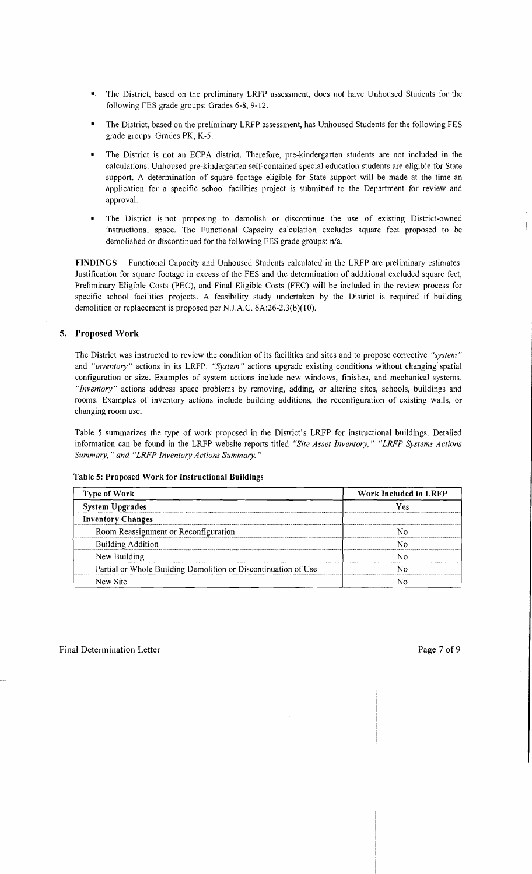- • The District, based on the preliminary LRFP assessment, does not have Unhoused Students for the following FES grade groups: Grades 6-8, 9-12.
- The District, based on the preliminary LRFP assessment, has Unhoused Students for the following FES grade groups: Grades PK, K-S.
- The District is not an ECPA district. Therefore, pre-kindergarten students are not included in the calculations. Unhoused pre-kindergarten self-contained special education students are eligible for State support. A determination of square footage eligible for State support will be made at the time an application for a specific school facilities project is submitted to the Department for review and approval.
- The District is not proposing to demolish or discontinue the use of existing District-owned instructional space. The Functional Capacity calculation excludes square feet proposed to be demolished or discontinued for the following FES grade groups:  $n/a$ .

FINDINGS Functional Capacity and Unhoused Students calculated in the LRFP are preliminary estimates. Justification for square footage in excess of the FES and the determination of additional excluded square feet, Preliminary Eligible Costs (PEC), and Final Eligible Costs (FEC) will be included in the review process for specific school facilities projects. A feasibility study undertaken by the District is required if building demolition or replacement is proposed per N.J.A.C. 6A:26-2.3(b)(10).

### 5. Proposed Work

The District was instructed to review the condition of its facilities and sites and to propose corrective *"system"*  and *"inventory"* actions in its LRFP..*'System* " actions upgrade existing conditions without changing'spatial configuration or size. Examples of system actions include new windows, finishes, and mechanical systems. *"Inventory"* actions address space problems by removing, adding, or altering sites, schools, buildings and rooms. Examples of inventory actions include building additions, the reconfiguration of existing walls, or changing room use.

Table S summarizes the type of work proposed in the District's LRFP for instructional buildings. Detailed information can be found in the LRFP website reports titled *"Site Asset Inventory," "LRFP Systems Actions Summary,* " *and "LRFP Inventory Actions Summary. "* 

|  |  |  | Table 5: Proposed Work for Instructional Buildings |  |
|--|--|--|----------------------------------------------------|--|
|--|--|--|----------------------------------------------------|--|

| <b>Type of Work</b>                                            | Work Included in LRFP |  |  |
|----------------------------------------------------------------|-----------------------|--|--|
| <b>System Upgrades</b>                                         | Yes                   |  |  |
| <b>Inventory Changes</b>                                       |                       |  |  |
| Room Reassignment or Reconfiguration                           |                       |  |  |
| <b>Building Addition</b>                                       |                       |  |  |
| New Building                                                   |                       |  |  |
| Partial or Whole Building Demolition or Discontinuation of Use |                       |  |  |
| New Site                                                       |                       |  |  |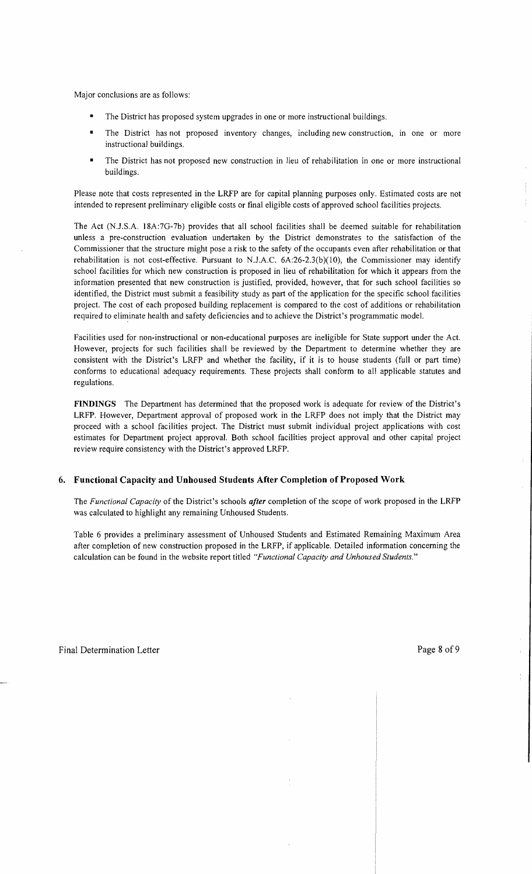Major conclusions are as follows:

- The District has proposed system upgrades in one or more instructional buildings.
- The District has not proposed inventory changes, including new construction, in one or more instructional buildings.
- The District has not proposed new construction in lieu of rehabilitation in one or more instructional buildings.

Please note that costs represented in the LRFP are for capital planning purposes only. Estimated costs are not intended to represent preliminary eligible costs or final eligible costs of approved school facilities projects.

The Act (NJ.S.A. 18A:7G-7b) provides that all school facilities shall be deemed suitable for rehabilitation unless a pre-construction evaluation undertaken by the District demonstrates to the satisfaction of the Commissioner that the structure might pose a risk to the safety of the occupants even after rehabilitation or that rehabilitation is not cost-effective. Pursuant to N.J.A.C.  $6A:26-2.3(b)(10)$ , the Commissioner may identify school facilities for which new construction is proposed in lieu of rehabilitation for which it appears from the information presented that new construction is justified, provided, however, that for such school facilities so identified, the District must submit a feasibility study as part of the application for the specific school facilities project. The cost of each proposed building replacement is compared to the cost of additions or rehabilitation required to eliminate health and safety deficiencies and to achieve the District's programmatic model.

Facilities used for non-instructional or non-educational purposes are ineligible for State support under the Act. However, projects for such facilities shall be reviewed by the Department to determine whether they are consistent with the District's LRFP and whether the facility, if it is to house students (full or part time) conforms to educational adequacy requirements. These projects shall conform to all applicable statutes and regulations.

**FINDINGS** The Department has determined that the proposed work is adequate for review of the District's LRFP. However, Department approval of proposed work in the LRFP does not imply that the District may proceed with a school facilities project. The District must submit individual project applications with cost estimates for Department project approval. Both school facilities project approval and other capital project review require consistency with the District's approved LRFP.

# **6. Functional Capacity and Unhoused Students After Completion** of Proposed **Work**

The *Functional Capacity* of the District's schools *after* completion of the scope of work proposed in the LRFP was calculated to highlight any remaining Unhoused Students.

Table 6 provides a preliminary assessment of Unhoused Students and Estimated Remaining Maximum Area after completion of new construction proposed in the LRFP, if applicable. Detailed information concerning the calculation can be found in the website report titled *"Functional Capacity and Unhoused Students."*